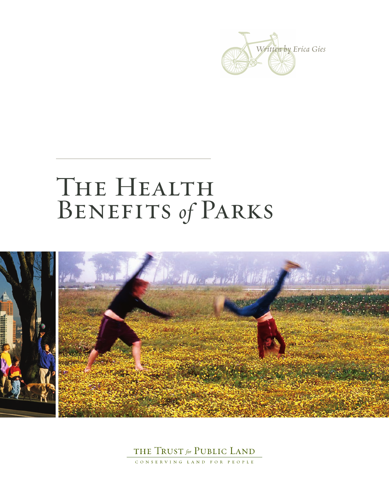

# THE HEALTH Benefits *of* Parks





CONSERVING LAND FOR PEOPLE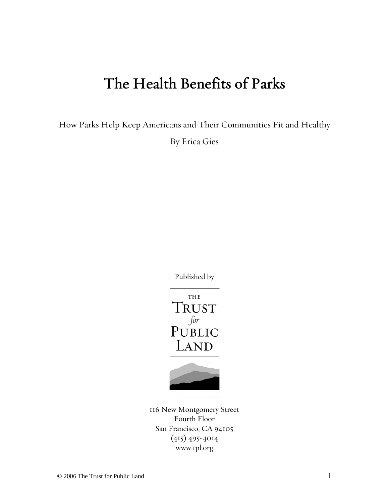# The Health Benefits of Parks

How Parks Help Keep Americans and Their Communities Fit and Healthy

By Erica Gies

Published by





116 New Montgomery Street Fourth Floor San Francisco, CA 94105 (415) 495-4014 www.tpl.org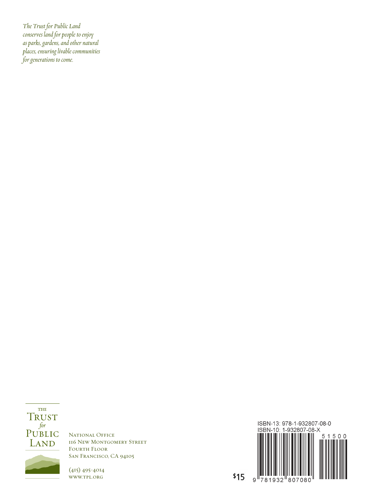*The Trust for Public Land conserves land for people to enjoy asparks, gardens,andother natural places, ensuring livable communities*  $\overline{f}$  *for generations to come.* 

THE **TRUST**  $\begin{array}{c}\nfor\\ \n\text{PUBLIC}\n\end{array}$ LAND

NATIONAL OFFICE 116 New Montgomery Street FOURTH FLOOR San Francisco, CA 94105

(415) 495-4014 www.tpl.org

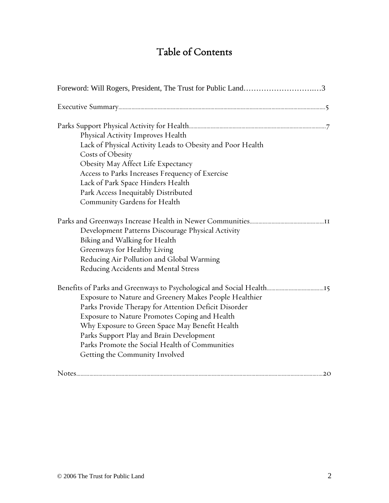# Table of Contents

| Foreword: Will Rogers, President, The Trust for Public Land3                                                                                                                                                                                                                                                                                      |
|---------------------------------------------------------------------------------------------------------------------------------------------------------------------------------------------------------------------------------------------------------------------------------------------------------------------------------------------------|
|                                                                                                                                                                                                                                                                                                                                                   |
| Physical Activity Improves Health<br>Lack of Physical Activity Leads to Obesity and Poor Health<br>Costs of Obesity<br>Obesity May Affect Life Expectancy<br>Access to Parks Increases Frequency of Exercise<br>Lack of Park Space Hinders Health<br>Park Access Inequitably Distributed<br>Community Gardens for Health                          |
| Development Patterns Discourage Physical Activity<br>Biking and Walking for Health<br>Greenways for Healthy Living<br>Reducing Air Pollution and Global Warming<br>Reducing Accidents and Mental Stress                                                                                                                                           |
| Exposure to Nature and Greenery Makes People Healthier<br>Parks Provide Therapy for Attention Deficit Disorder<br>Exposure to Nature Promotes Coping and Health<br>Why Exposure to Green Space May Benefit Health<br>Parks Support Play and Brain Development<br>Parks Promote the Social Health of Communities<br>Getting the Community Involved |
|                                                                                                                                                                                                                                                                                                                                                   |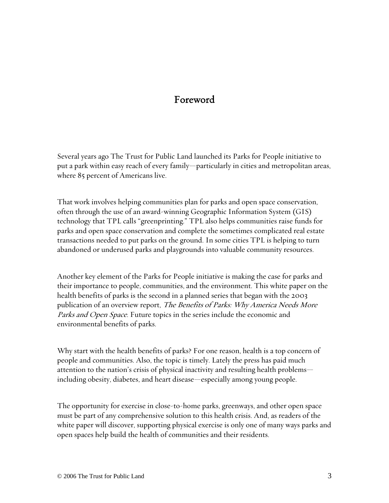# Foreword

Several years ago The Trust for Public Land launched its Parks for People initiative to put a park within easy reach of every family—particularly in cities and metropolitan areas, where 85 percent of Americans live.

That work involves helping communities plan for parks and open space conservation, often through the use of an award-winning Geographic Information System (GIS) technology that TPL calls "greenprinting." TPL also helps communities raise funds for parks and open space conservation and complete the sometimes complicated real estate transactions needed to put parks on the ground. In some cities TPL is helping to turn abandoned or underused parks and playgrounds into valuable community resources.

Another key element of the Parks for People initiative is making the case for parks and their importance to people, communities, and the environment. This white paper on the health benefits of parks is the second in a planned series that began with the 2003 publication of an overview report, The Benefits of Parks: Why America Needs More Parks and Open Space. Future topics in the series include the economic and environmental benefits of parks.

Why start with the health benefits of parks? For one reason, health is a top concern of people and communities. Also, the topic is timely. Lately the press has paid much attention to the nation's crisis of physical inactivity and resulting health problems including obesity, diabetes, and heart disease—especially among young people.

The opportunity for exercise in close-to-home parks, greenways, and other open space must be part of any comprehensive solution to this health crisis. And, as readers of the white paper will discover, supporting physical exercise is only one of many ways parks and open spaces help build the health of communities and their residents.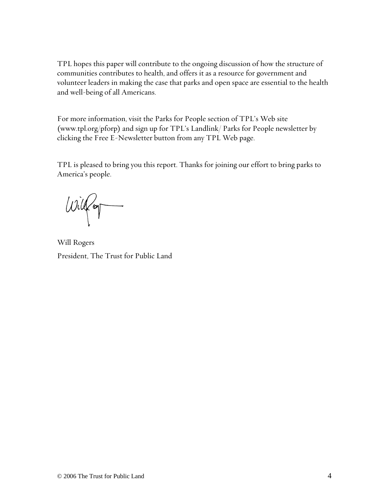TPL hopes this paper will contribute to the ongoing discussion of how the structure of communities contributes to health, and offers it as a resource for government and volunteer leaders in making the case that parks and open space are essential to the health and well-being of all Americans.

For more information, visit the Parks for People section of TPL's Web site (www.tpl.org/pforp) and sign up for TPL's Landlink/ Parks for People newsletter by clicking the Free E-Newsletter button from any TPL Web page.

TPL is pleased to bring you this report. Thanks for joining our effort to bring parks to America's people.

 $wig$ 

Will Rogers President, The Trust for Public Land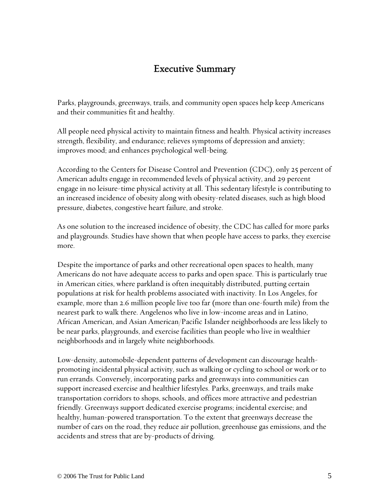## Executive Summary

Parks, playgrounds, greenways, trails, and community open spaces help keep Americans and their communities fit and healthy.

All people need physical activity to maintain fitness and health. Physical activity increases strength, flexibility, and endurance; relieves symptoms of depression and anxiety; improves mood; and enhances psychological well-being.

According to the Centers for Disease Control and Prevention (CDC), only 25 percent of American adults engage in recommended levels of physical activity, and 29 percent engage in no leisure-time physical activity at all. This sedentary lifestyle is contributing to an increased incidence of obesity along with obesity-related diseases, such as high blood pressure, diabetes, congestive heart failure, and stroke.

As one solution to the increased incidence of obesity, the CDC has called for more parks and playgrounds. Studies have shown that when people have access to parks, they exercise more.

Despite the importance of parks and other recreational open spaces to health, many Americans do not have adequate access to parks and open space. This is particularly true in American cities, where parkland is often inequitably distributed, putting certain populations at risk for health problems associated with inactivity. In Los Angeles, for example, more than 2.6 million people live too far (more than one-fourth mile) from the nearest park to walk there. Angelenos who live in low-income areas and in Latino, African American, and Asian American/Pacific Islander neighborhoods are less likely to be near parks, playgrounds, and exercise facilities than people who live in wealthier neighborhoods and in largely white neighborhoods.

Low-density, automobile-dependent patterns of development can discourage healthpromoting incidental physical activity, such as walking or cycling to school or work or to run errands. Conversely, incorporating parks and greenways into communities can support increased exercise and healthier lifestyles. Parks, greenways, and trails make transportation corridors to shops, schools, and offices more attractive and pedestrian friendly. Greenways support dedicated exercise programs; incidental exercise; and healthy, human-powered transportation. To the extent that greenways decrease the number of cars on the road, they reduce air pollution, greenhouse gas emissions, and the accidents and stress that are by-products of driving.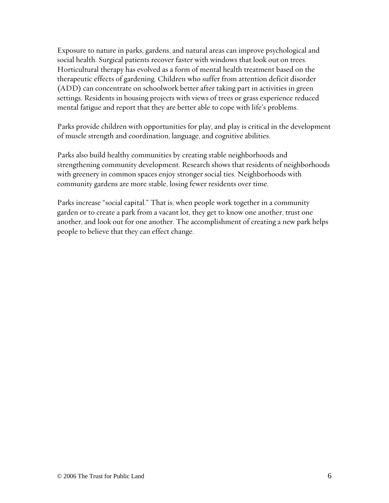Exposure to nature in parks, gardens, and natural areas can improve psychological and social health. Surgical patients recover faster with windows that look out on trees. Horticultural therapy has evolved as a form of mental health treatment based on the therapeutic effects of gardening. Children who suffer from attention deficit disorder (ADD) can concentrate on schoolwork better after taking part in activities in green settings. Residents in housing projects with views of trees or grass experience reduced mental fatigue and report that they are better able to cope with life's problems.

Parks provide children with opportunities for play, and play is critical in the development of muscle strength and coordination, language, and cognitive abilities.

Parks also build healthy communities by creating stable neighborhoods and strengthening community development. Research shows that residents of neighborhoods with greenery in common spaces enjoy stronger social ties. Neighborhoods with community gardens are more stable, losing fewer residents over time.

Parks increase "social capital." That is, when people work together in a community garden or to create a park from a vacant lot, they get to know one another, trust one another, and look out for one another. The accomplishment of creating a new park helps people to believe that they can effect change.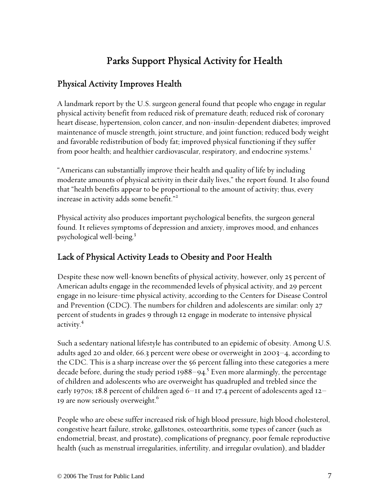# Parks Support Physical Activity for Health

#### Physical Activity Improves Health

A landmark report by the U.S. surgeon general found that people who engage in regular physical activity benefit from reduced risk of premature death; reduced risk of coronary heart disease, hypertension, colon cancer, and non-insulin-dependent diabetes; improved maintenance of muscle strength, joint structure, and joint function; reduced body weight and favorable redistribution of body fat; improved physical functioning if they suffer from poor health; and healthier cardiovascular, respiratory, and endocrine systems.<sup>1</sup>

"Americans can substantially improve their health and quality of life by including moderate amounts of physical activity in their daily lives," the report found. It also found that "health benefits appear to be proportional to the amount of activity; thus, every increase in activity adds some benefit."<sup>2</sup>

Physical activity also produces important psychological benefits, the surgeon general found. It relieves symptoms of depression and anxiety, improves mood, and enhances psychological well-being.3

#### Lack of Physical Activity Leads to Obesity and Poor Health

Despite these now well-known benefits of physical activity, however, only 25 percent of American adults engage in the recommended levels of physical activity, and 29 percent engage in no leisure-time physical activity, according to the Centers for Disease Control and Prevention (CDC). The numbers for children and adolescents are similar: only 27 percent of students in grades 9 through 12 engage in moderate to intensive physical activity.<sup>4</sup>

Such a sedentary national lifestyle has contributed to an epidemic of obesity. Among U.S. adults aged 20 and older, 66.3 percent were obese or overweight in 2003–4, according to the CDC. This is a sharp increase over the 56 percent falling into these categories a mere decade before, during the study period 1988–94. $^{\rm 5}$  Even more alarmingly, the percentage of children and adolescents who are overweight has quadrupled and trebled since the early 1970s; 18.8 percent of children aged 6–11 and 17.4 percent of adolescents aged 12– 19 are now seriously overweight.<sup>6</sup>

People who are obese suffer increased risk of high blood pressure, high blood cholesterol, congestive heart failure, stroke, gallstones, osteoarthritis, some types of cancer (such as endometrial, breast, and prostate), complications of pregnancy, poor female reproductive health (such as menstrual irregularities, infertility, and irregular ovulation), and bladder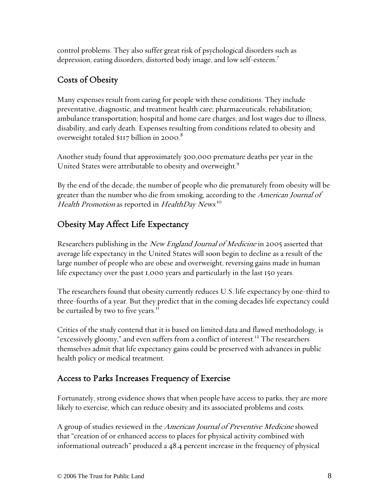control problems. They also suffer great risk of psychological disorders such as depression, eating disorders, distorted body image, and low self-esteem.7

# Costs of Obesity

Many expenses result from caring for people with these conditions. They include preventative, diagnostic, and treatment health care; pharmaceuticals; rehabilitation; ambulance transportation; hospital and home care charges; and lost wages due to illness, disability, and early death. Expenses resulting from conditions related to obesity and overweight totaled \$117 billion in 2000. $^8$ 

Another study found that approximately 300,000 premature deaths per year in the United States were attributable to obesity and overweight.<sup>9</sup>

By the end of the decade, the number of people who die prematurely from obesity will be greater than the number who die from smoking, according to the *American Journal of* Health Promotion as reported in HealthDay News.<sup>10</sup>

# Obesity May Affect Life Expectancy

Researchers publishing in the *New England Journal of Medicine* in 2005 asserted that average life expectancy in the United States will soon begin to decline as a result of the large number of people who are obese and overweight, reversing gains made in human life expectancy over the past 1,000 years and particularly in the last 150 years.

The researchers found that obesity currently reduces U.S. life expectancy by one-third to three-fourths of a year. But they predict that in the coming decades life expectancy could be curtailed by two to five years.<sup>11</sup>

Critics of the study contend that it is based on limited data and flawed methodology, is "excessively gloomy," and even suffers from a conflict of interest.<sup>12</sup> The researchers themselves admit that life expectancy gains could be preserved with advances in public health policy or medical treatment.

#### Access to Parks Increases Frequency of Exercise

Fortunately, strong evidence shows that when people have access to parks, they are more likely to exercise, which can reduce obesity and its associated problems and costs.

A group of studies reviewed in the American Journal of Preventive Medicine showed that "creation of or enhanced access to places for physical activity combined with informational outreach" produced a 48.4 percent increase in the frequency of physical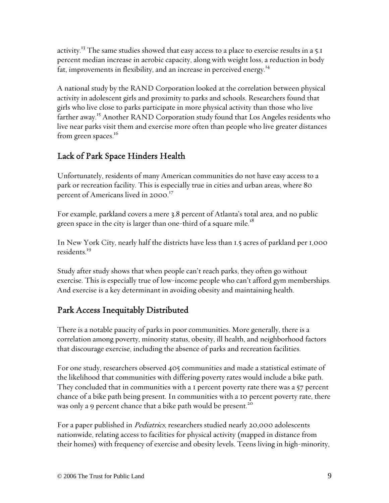activity.<sup>13</sup> The same studies showed that easy access to a place to exercise results in a 5.1 percent median increase in aerobic capacity, along with weight loss, a reduction in body fat, improvements in flexibility, and an increase in perceived energy.<sup>14</sup>

A national study by the RAND Corporation looked at the correlation between physical activity in adolescent girls and proximity to parks and schools. Researchers found that girls who live close to parks participate in more physical activity than those who live farther away.<sup>15</sup> Another RAND Corporation study found that Los Angeles residents who live near parks visit them and exercise more often than people who live greater distances from green spaces.<sup>16</sup>

# Lack of Park Space Hinders Health

Unfortunately, residents of many American communities do not have easy access to a park or recreation facility. This is especially true in cities and urban areas, where 80 percent of Americans lived in 2000.<sup>17</sup>

For example, parkland covers a mere 3.8 percent of Atlanta's total area, and no public green space in the city is larger than one-third of a square mile.<sup>18</sup>

In New York City, nearly half the districts have less than 1.5 acres of parkland per 1,000 residents.<sup>19</sup>

Study after study shows that when people can't reach parks, they often go without exercise. This is especially true of low-income people who can't afford gym memberships. And exercise is a key determinant in avoiding obesity and maintaining health.

### Park Access Inequitably Distributed

There is a notable paucity of parks in poor communities. More generally, there is a correlation among poverty, minority status, obesity, ill health, and neighborhood factors that discourage exercise, including the absence of parks and recreation facilities.

For one study, researchers observed 405 communities and made a statistical estimate of the likelihood that communities with differing poverty rates would include a bike path. They concluded that in communities with a 1 percent poverty rate there was a 57 percent chance of a bike path being present. In communities with a 10 percent poverty rate, there was only a 9 percent chance that a bike path would be present.<sup>20</sup>

For a paper published in *Pediatrics*, researchers studied nearly 20,000 adolescents nationwide, relating access to facilities for physical activity (mapped in distance from their homes) with frequency of exercise and obesity levels. Teens living in high-minority,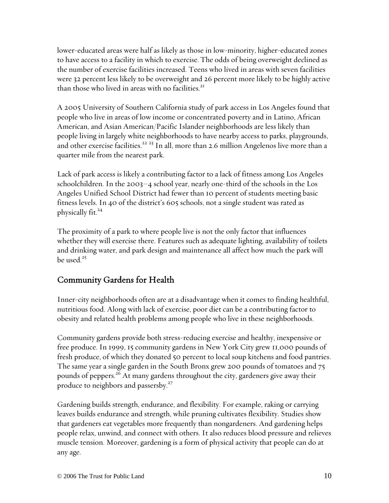lower-educated areas were half as likely as those in low-minority, higher-educated zones to have access to a facility in which to exercise. The odds of being overweight declined as the number of exercise facilities increased. Teens who lived in areas with seven facilities were 32 percent less likely to be overweight and 26 percent more likely to be highly active than those who lived in areas with no facilities. $^{21}$ 

A 2005 University of Southern California study of park access in Los Angeles found that people who live in areas of low income or concentrated poverty and in Latino, African American, and Asian American/Pacific Islander neighborhoods are less likely than people living in largely white neighborhoods to have nearby access to parks, playgrounds, and other exercise facilities.<sup>22-23</sup> In all, more than 2.6 million Angelenos live more than a quarter mile from the nearest park.

Lack of park access is likely a contributing factor to a lack of fitness among Los Angeles schoolchildren. In the 2003–4 school year, nearly one-third of the schools in the Los Angeles Unified School District had fewer than 10 percent of students meeting basic fitness levels. In 40 of the district's 605 schools, not a single student was rated as physically fit. $24$ 

The proximity of a park to where people live is not the only factor that influences whether they will exercise there. Features such as adequate lighting, availability of toilets and drinking water, and park design and maintenance all affect how much the park will be used. $25$ 

#### Community Gardens for Health

Inner-city neighborhoods often are at a disadvantage when it comes to finding healthful, nutritious food. Along with lack of exercise, poor diet can be a contributing factor to obesity and related health problems among people who live in these neighborhoods.

Community gardens provide both stress-reducing exercise and healthy, inexpensive or free produce. In 1999, 15 community gardens in New York City grew 11,000 pounds of fresh produce, of which they donated 50 percent to local soup kitchens and food pantries. The same year a single garden in the South Bronx grew 200 pounds of tomatoes and 75 pounds of peppers.<sup>26</sup> At many gardens throughout the city, gardeners give away their produce to neighbors and passersby.<sup>27</sup>

Gardening builds strength, endurance, and flexibility. For example, raking or carrying leaves builds endurance and strength, while pruning cultivates flexibility. Studies show that gardeners eat vegetables more frequently than nongardeners. And gardening helps people relax, unwind, and connect with others. It also reduces blood pressure and relieves muscle tension. Moreover, gardening is a form of physical activity that people can do at any age.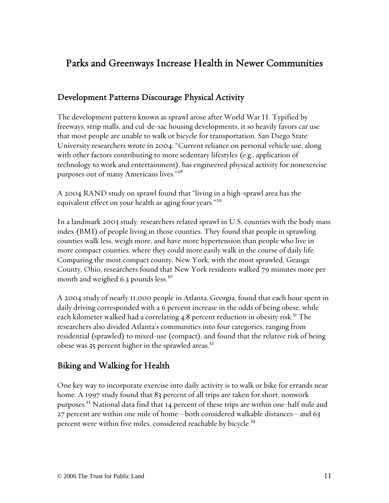# Parks and Greenways Increase Health in Newer Communities

#### Development Patterns Discourage Physical Activity

The development pattern known as sprawl arose after World War II. Typified by freeways, strip malls, and cul-de-sac housing developments, it so heavily favors car use that most people are unable to walk or bicycle for transportation. San Diego State University researchers wrote in 2004: "Current reliance on personal vehicle use, along with other factors contributing to more sedentary lifestyles (e.g., application of technology to work and entertainment), has engineered physical activity for nonexercise purposes out of many Americans lives."<sup>28</sup>

A 2004 RAND study on sprawl found that "living in a high-sprawl area has the equivalent effect on your health as aging four years."<sup>29</sup>

In a landmark 2003 study, researchers related sprawl in U.S. counties with the body mass index (BMI) of people living in those counties. They found that people in sprawling counties walk less, weigh more, and have more hypertension than people who live in more compact counties, where they could more easily walk in the course of daily life. Comparing the most compact county, New York, with the most sprawled, Geauga County, Ohio, researchers found that New York residents walked 79 minutes more per month and weighed 6.3 pounds less.<sup>30</sup>

A 2004 study of nearly 11,000 people in Atlanta, Georgia, found that each hour spent in daily driving corresponded with a 6 percent increase in the odds of being obese, while each kilometer walked had a correlating 4.8 percent reduction in obesity risk.<sup>31</sup> The researchers also divided Atlanta's communities into four categories, ranging from residential (sprawled) to mixed-use (compact), and found that the relative risk of being obese was 35 percent higher in the sprawled areas.<sup>32</sup>

#### Biking and Walking for Health

One key way to incorporate exercise into daily activity is to walk or bike for errands near home. A 1997 study found that 83 percent of all trips are taken for short, nonwork purposes.<sup>33</sup> National data find that 14 percent of these trips are within one-half mile and 27 percent are within one mile of home—both considered walkable distances—and 63 percent were within five miles, considered reachable by bicycle.<sup>34</sup>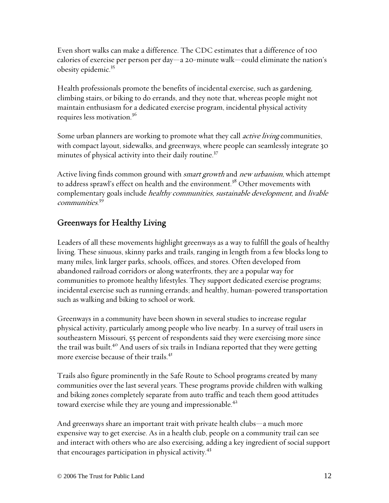Even short walks can make a difference. The CDC estimates that a difference of 100 calories of exercise per person per day—a 20-minute walk—could eliminate the nation's obesity epidemic.35

Health professionals promote the benefits of incidental exercise, such as gardening, climbing stairs, or biking to do errands, and they note that, whereas people might not maintain enthusiasm for a dedicated exercise program, incidental physical activity requires less motivation.36

Some urban planners are working to promote what they call *active living* communities, with compact layout, sidewalks, and greenways, where people can seamlessly integrate 30 minutes of physical activity into their daily routine.<sup>37</sup>

Active living finds common ground with *smart growth* and *new urbanism*, which attempt to address sprawl's effect on health and the environment.<sup>38</sup> Other movements with complementary goals include *healthy communities, sustainable development*, and *livable* communities. 39

#### Greenways for Healthy Living

Leaders of all these movements highlight greenways as a way to fulfill the goals of healthy living. These sinuous, skinny parks and trails, ranging in length from a few blocks long to many miles, link larger parks, schools, offices, and stores. Often developed from abandoned railroad corridors or along waterfronts, they are a popular way for communities to promote healthy lifestyles. They support dedicated exercise programs; incidental exercise such as running errands; and healthy, human-powered transportation such as walking and biking to school or work.

Greenways in a community have been shown in several studies to increase regular physical activity, particularly among people who live nearby. In a survey of trail users in southeastern Missouri, 55 percent of respondents said they were exercising more since the trail was built.<sup>40</sup> And users of six trails in Indiana reported that they were getting more exercise because of their trails.<sup>41</sup>

Trails also figure prominently in the Safe Route to School programs created by many communities over the last several years. These programs provide children with walking and biking zones completely separate from auto traffic and teach them good attitudes toward exercise while they are young and impressionable. $42$ 

And greenways share an important trait with private health clubs—a much more expensive way to get exercise. As in a health club, people on a community trail can see and interact with others who are also exercising, adding a key ingredient of social support that encourages participation in physical activity.<sup>43</sup>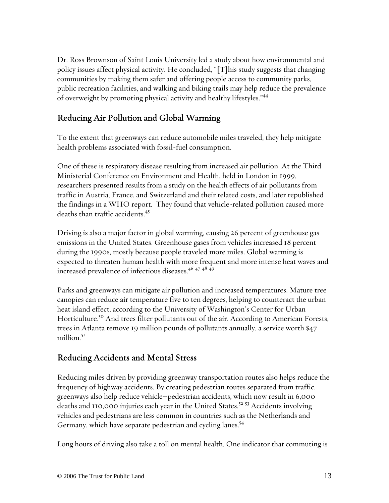Dr. Ross Brownson of Saint Louis University led a study about how environmental and policy issues affect physical activity. He concluded, "[T]his study suggests that changing communities by making them safer and offering people access to community parks, public recreation facilities, and walking and biking trails may help reduce the prevalence of overweight by promoting physical activity and healthy lifestyles."44

#### Reducing Air Pollution and Global Warming

To the extent that greenways can reduce automobile miles traveled, they help mitigate health problems associated with fossil-fuel consumption.

One of these is respiratory disease resulting from increased air pollution. At the Third Ministerial Conference on Environment and Health, held in London in 1999, researchers presented results from a study on the health effects of air pollutants from traffic in Austria, France, and Switzerland and their related costs, and later republished the findings in a WHO report. They found that vehicle-related pollution caused more deaths than traffic accidents.45

Driving is also a major factor in global warming, causing 26 percent of greenhouse gas emissions in the United States. Greenhouse gases from vehicles increased 18 percent during the 1990s, mostly because people traveled more miles. Global warming is expected to threaten human health with more frequent and more intense heat waves and increased prevalence of infectious diseases.<sup>46</sup> <sup>47</sup> <sup>48</sup> 49

Parks and greenways can mitigate air pollution and increased temperatures. Mature tree canopies can reduce air temperature five to ten degrees, helping to counteract the urban heat island effect, according to the University of Washington's Center for Urban Horticulture.<sup>50</sup> And trees filter pollutants out of the air. According to American Forests, trees in Atlanta remove 19 million pounds of pollutants annually, a service worth \$47 million.<sup>51</sup>

#### Reducing Accidents and Mental Stress

Reducing miles driven by providing greenway transportation routes also helps reduce the frequency of highway accidents. By creating pedestrian routes separated from traffic, greenways also help reduce vehicle–pedestrian accidents, which now result in 6,000 deaths and 110,000 injuries each year in the United States.<sup>52</sup> 53 Accidents involving vehicles and pedestrians are less common in countries such as the Netherlands and Germany, which have separate pedestrian and cycling lanes.<sup>54</sup>

Long hours of driving also take a toll on mental health. One indicator that commuting is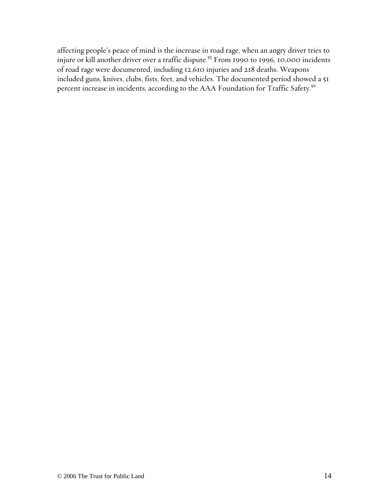affecting people's peace of mind is the increase in road rage, when an angry driver tries to injure or kill another driver over a traffic dispute.<sup>55</sup> From 1990 to 1996, 10,000 incidents of road rage were documented, including 12,610 injuries and 218 deaths. Weapons included guns, knives, clubs, fists, feet, and vehicles. The documented period showed a 51 percent increase in incidents, according to the AAA Foundation for Traffic Safety.<sup>56</sup>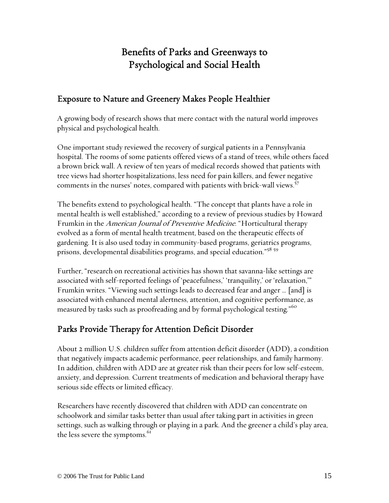# Benefits of Parks and Greenways to Psychological and Social Health

#### Exposure to Nature and Greenery Makes People Healthier

A growing body of research shows that mere contact with the natural world improves physical and psychological health.

One important study reviewed the recovery of surgical patients in a Pennsylvania hospital. The rooms of some patients offered views of a stand of trees, while others faced a brown brick wall. A review of ten years of medical records showed that patients with tree views had shorter hospitalizations, less need for pain killers, and fewer negative comments in the nurses' notes, compared with patients with brick-wall views.<sup>57</sup>

The benefits extend to psychological health. "The concept that plants have a role in mental health is well established," according to a review of previous studies by Howard Frumkin in the American Journal of Preventive Medicine. "Horticultural therapy evolved as a form of mental health treatment, based on the therapeutic effects of gardening. It is also used today in community-based programs, geriatrics programs, prisons, developmental disabilities programs, and special education."<sup>58 59</sup>

Further, "research on recreational activities has shown that savanna-like settings are associated with self-reported feelings of 'peacefulness,' 'tranquility,' or 'relaxation,'" Frumkin writes. "Viewing such settings leads to decreased fear and anger … [and] is associated with enhanced mental alertness, attention, and cognitive performance, as measured by tasks such as proofreading and by formal psychological testing."<sup>60</sup>

#### Parks Provide Therapy for Attention Deficit Disorder

About 2 million U.S. children suffer from attention deficit disorder (ADD), a condition that negatively impacts academic performance, peer relationships, and family harmony. In addition, children with ADD are at greater risk than their peers for low self-esteem, anxiety, and depression. Current treatments of medication and behavioral therapy have serious side effects or limited efficacy.

Researchers have recently discovered that children with ADD can concentrate on schoolwork and similar tasks better than usual after taking part in activities in green settings, such as walking through or playing in a park. And the greener a child's play area, the less severe the symptoms.<sup>61</sup>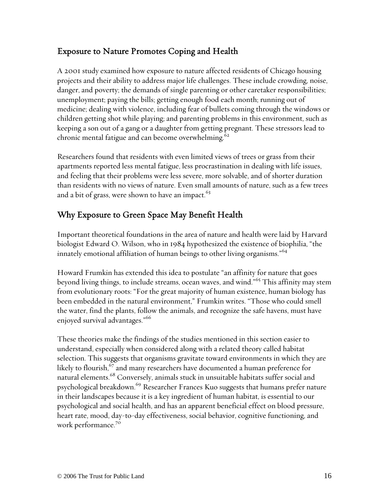#### Exposure to Nature Promotes Coping and Health

A 2001 study examined how exposure to nature affected residents of Chicago housing projects and their ability to address major life challenges. These include crowding, noise, danger, and poverty; the demands of single parenting or other caretaker responsibilities; unemployment; paying the bills; getting enough food each month; running out of medicine; dealing with violence, including fear of bullets coming through the windows or children getting shot while playing; and parenting problems in this environment, such as keeping a son out of a gang or a daughter from getting pregnant. These stressors lead to chronic mental fatigue and can become overwhelming. $62$ 

Researchers found that residents with even limited views of trees or grass from their apartments reported less mental fatigue, less procrastination in dealing with life issues, and feeling that their problems were less severe, more solvable, and of shorter duration than residents with no views of nature. Even small amounts of nature, such as a few trees and a bit of grass, were shown to have an impact.<sup>63</sup>

#### Why Exposure to Green Space May Benefit Health

Important theoretical foundations in the area of nature and health were laid by Harvard biologist Edward O. Wilson, who in 1984 hypothesized the existence of biophilia, "the innately emotional affiliation of human beings to other living organisms."<sup>64</sup>

Howard Frumkin has extended this idea to postulate "an affinity for nature that goes beyond living things, to include streams, ocean waves, and wind."<sup>65</sup> This affinity may stem from evolutionary roots: "For the great majority of human existence, human biology has been embedded in the natural environment," Frumkin writes. "Those who could smell the water, find the plants, follow the animals, and recognize the safe havens, must have enjoyed survival advantages."<sup>66</sup>

These theories make the findings of the studies mentioned in this section easier to understand, especially when considered along with a related theory called habitat selection. This suggests that organisms gravitate toward environments in which they are likely to flourish.<sup>67</sup> and many researchers have documented a human preference for natural elements.<sup>68</sup> Conversely, animals stuck in unsuitable habitats suffer social and psychological breakdown.<sup>69</sup> Researcher Frances Kuo suggests that humans prefer nature in their landscapes because it is a key ingredient of human habitat, is essential to our psychological and social health, and has an apparent beneficial effect on blood pressure, heart rate, mood, day-to-day effectiveness, social behavior, cognitive functioning, and work performance.<sup>70</sup>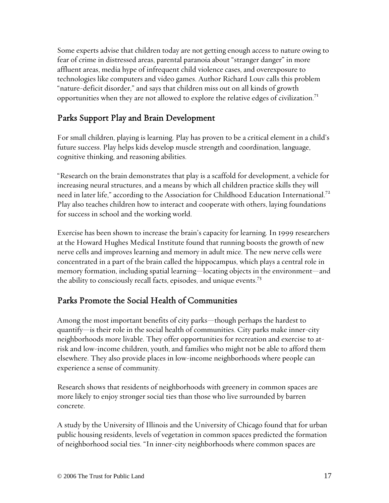Some experts advise that children today are not getting enough access to nature owing to fear of crime in distressed areas, parental paranoia about "stranger danger" in more affluent areas, media hype of infrequent child violence cases, and overexposure to technologies like computers and video games. Author Richard Louv calls this problem "nature-deficit disorder," and says that children miss out on all kinds of growth opportunities when they are not allowed to explore the relative edges of civilization.<sup>71</sup>

#### Parks Support Play and Brain Development

For small children, playing is learning. Play has proven to be a critical element in a child's future success. Play helps kids develop muscle strength and coordination, language, cognitive thinking, and reasoning abilities.

"Research on the brain demonstrates that play is a scaffold for development, a vehicle for increasing neural structures, and a means by which all children practice skills they will need in later life," according to the Association for Childhood Education International.<sup>72</sup> Play also teaches children how to interact and cooperate with others, laying foundations for success in school and the working world.

Exercise has been shown to increase the brain's capacity for learning. In 1999 researchers at the Howard Hughes Medical Institute found that running boosts the growth of new nerve cells and improves learning and memory in adult mice. The new nerve cells were concentrated in a part of the brain called the hippocampus, which plays a central role in memory formation, including spatial learning—locating objects in the environment—and the ability to consciously recall facts, episodes, and unique events.<sup>73</sup>

#### Parks Promote the Social Health of Communities

Among the most important benefits of city parks—though perhaps the hardest to quantify—is their role in the social health of communities. City parks make inner-city neighborhoods more livable. They offer opportunities for recreation and exercise to atrisk and low-income children, youth, and families who might not be able to afford them elsewhere. They also provide places in low-income neighborhoods where people can experience a sense of community.

Research shows that residents of neighborhoods with greenery in common spaces are more likely to enjoy stronger social ties than those who live surrounded by barren concrete.

A study by the University of Illinois and the University of Chicago found that for urban public housing residents, levels of vegetation in common spaces predicted the formation of neighborhood social ties. "In inner-city neighborhoods where common spaces are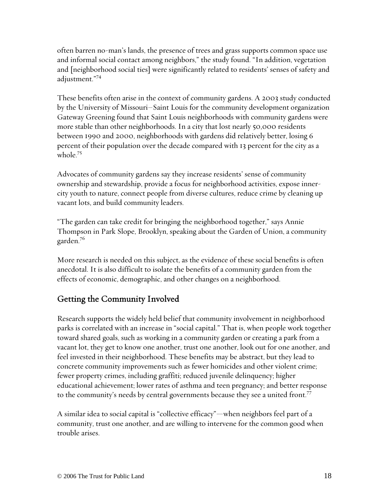often barren no-man's lands, the presence of trees and grass supports common space use and informal social contact among neighbors," the study found. "In addition, vegetation and [neighborhood social ties] were significantly related to residents' senses of safety and adjustment."74

These benefits often arise in the context of community gardens. A 2003 study conducted by the University of Missouri–Saint Louis for the community development organization Gateway Greening found that Saint Louis neighborhoods with community gardens were more stable than other neighborhoods. In a city that lost nearly 50,000 residents between 1990 and 2000, neighborhoods with gardens did relatively better, losing 6 percent of their population over the decade compared with 13 percent for the city as a whole.<sup>75</sup>

Advocates of community gardens say they increase residents' sense of community ownership and stewardship, provide a focus for neighborhood activities, expose innercity youth to nature, connect people from diverse cultures, reduce crime by cleaning up vacant lots, and build community leaders.

"The garden can take credit for bringing the neighborhood together," says Annie Thompson in Park Slope, Brooklyn, speaking about the Garden of Union, a community garden.76

More research is needed on this subject, as the evidence of these social benefits is often anecdotal. It is also difficult to isolate the benefits of a community garden from the effects of economic, demographic, and other changes on a neighborhood.

#### Getting the Community Involved

Research supports the widely held belief that community involvement in neighborhood parks is correlated with an increase in "social capital." That is, when people work together toward shared goals, such as working in a community garden or creating a park from a vacant lot, they get to know one another, trust one another, look out for one another, and feel invested in their neighborhood. These benefits may be abstract, but they lead to concrete community improvements such as fewer homicides and other violent crime; fewer property crimes, including graffiti; reduced juvenile delinquency; higher educational achievement; lower rates of asthma and teen pregnancy; and better response to the community's needs by central governments because they see a united front.<sup>77</sup>

A similar idea to social capital is "collective efficacy"—when neighbors feel part of a community, trust one another, and are willing to intervene for the common good when trouble arises.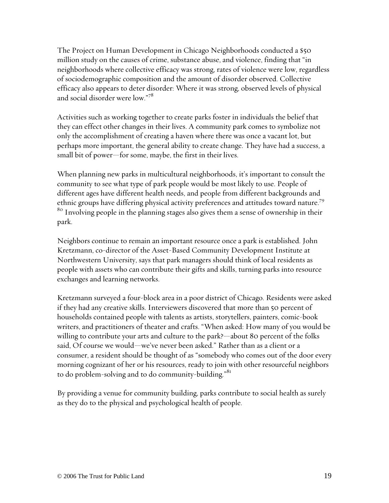The Project on Human Development in Chicago Neighborhoods conducted a \$50 million study on the causes of crime, substance abuse, and violence, finding that "in neighborhoods where collective efficacy was strong, rates of violence were low, regardless of sociodemographic composition and the amount of disorder observed. Collective efficacy also appears to deter disorder: Where it was strong, observed levels of physical and social disorder were low."78

Activities such as working together to create parks foster in individuals the belief that they can effect other changes in their lives. A community park comes to symbolize not only the accomplishment of creating a haven where there was once a vacant lot, but perhaps more important, the general ability to create change. They have had a success, a small bit of power—for some, maybe, the first in their lives.

When planning new parks in multicultural neighborhoods, it's important to consult the community to see what type of park people would be most likely to use. People of different ages have different health needs, and people from different backgrounds and ethnic groups have differing physical activity preferences and attitudes toward nature.<sup>79</sup> <sup>80</sup> Involving people in the planning stages also gives them a sense of ownership in their park.

Neighbors continue to remain an important resource once a park is established. John Kretzmann, co-director of the Asset-Based Community Development Institute at Northwestern University, says that park managers should think of local residents as people with assets who can contribute their gifts and skills, turning parks into resource exchanges and learning networks.

Kretzmann surveyed a four-block area in a poor district of Chicago. Residents were asked if they had any creative skills. Interviewers discovered that more than 50 percent of households contained people with talents as artists, storytellers, painters, comic-book writers, and practitioners of theater and crafts. "When asked: How many of you would be willing to contribute your arts and culture to the park?—about 80 percent of the folks said, Of course we would—we've never been asked." Rather than as a client or a consumer, a resident should be thought of as "somebody who comes out of the door every morning cognizant of her or his resources, ready to join with other resourceful neighbors to do problem-solving and to do community-building."<sup>81</sup>

By providing a venue for community building, parks contribute to social health as surely as they do to the physical and psychological health of people.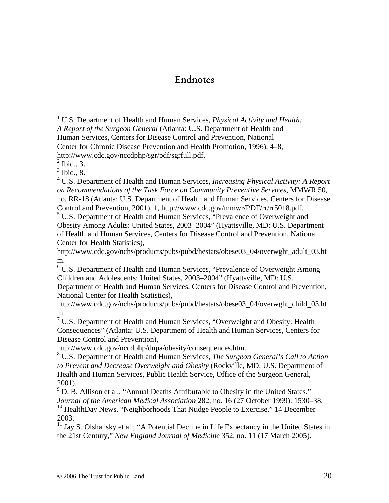### Endnotes

<sup>1</sup> U.S. Department of Health and Human Services, *Physical Activity and Health: A Report of the Surgeon General* (Atlanta: U.S. Department of Health and Human Services, Centers for Disease Control and Prevention, National Center for Chronic Disease Prevention and Health Promotion, 1996), 4–8, http://www.cdc.gov/nccdphp/sgr/pdf/sgrfull.pdf.

 $<sup>2</sup>$  Ibid., 3.</sup>

 $\overline{a}$ 

 $3$  Ibid., 8.

4 U.S. Department of Health and Human Services, *Increasing Physical Activity: A Report on Recommendations of the Task Force on Community Preventive Services,* MMWR 50, no. RR-18 (Atlanta: U.S. Department of Health and Human Services, Centers for Disease Control and Prevention, 2001), 1, http://www.cdc.gov/mmwr/PDF/rr/rr5018.pdf.

<sup>5</sup> U.S. Department of Health and Human Services, "Prevalence of Overweight and Obesity Among Adults: United States, 2003–2004" (Hyattsville, MD: U.S. Department of Health and Human Services, Centers for Disease Control and Prevention, National Center for Health Statistics),

http://www.cdc.gov/nchs/products/pubs/pubd/hestats/obese03\_04/overwght\_adult\_03.ht m.

<sup>6</sup> U.S. Department of Health and Human Services, "Prevalence of Overweight Among Children and Adolescents: United States, 2003–2004" (Hyattsville, MD: U.S.

Department of Health and Human Services, Centers for Disease Control and Prevention, National Center for Health Statistics),

http://www.cdc.gov/nchs/products/pubs/pubd/hestats/obese03\_04/overwght\_child\_03.ht m.

 $7$  U.S. Department of Health and Human Services, "Overweight and Obesity: Health Consequences" (Atlanta: U.S. Department of Health and Human Services, Centers for Disease Control and Prevention),

http://www.cdc.gov/nccdphp/dnpa/obesity/consequences.htm.

8 U.S. Department of Health and Human Services, *The Surgeon General's Call to Action to Prevent and Decrease Overweight and Obesity* (Rockville, MD: U.S. Department of Health and Human Services, Public Health Service, Office of the Surgeon General, 2001).

 $9^9$  D. B. Allison et al., "Annual Deaths Attributable to Obesity in the United States," *Journal of the American Medical Association* 282, no. 16 (27 October 1999): 1530–38. <sup>10</sup> HealthDay News, "Neighborhoods That Nudge People to Exercise," 14 December 2003.

<sup>11</sup> Jay S. Olshansky et al., "A Potential Decline in Life Expectancy in the United States in the 21st Century," *New England Journal of Medicine* 352, no. 11 (17 March 2005).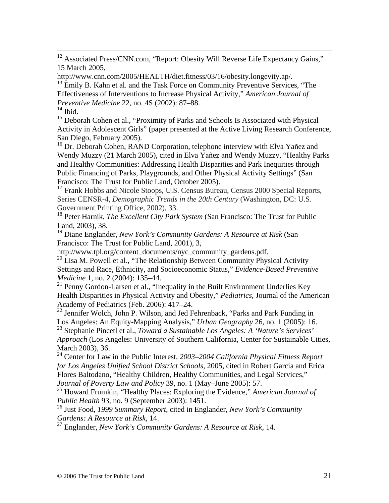<sup>12</sup> Associated Press/CNN.com, "Report: Obesity Will Reverse Life Expectancy Gains," 15 March 2005,

http://www.cnn.com/2005/HEALTH/diet.fitness/03/16/obesity.longevity.ap/.

 $13$  Emily B. Kahn et al. and the Task Force on Community Preventive Services, "The Effectiveness of Interventions to Increase Physical Activity," *American Journal of Preventive Medicine* 22, no. 4S (2002): 87–88.

 $^{\rm 14}$  Ibid.

<sup>15</sup> Deborah Cohen et al., "Proximity of Parks and Schools Is Associated with Physical Activity in Adolescent Girls" (paper presented at the Active Living Research Conference, San Diego, February 2005).

<sup>16</sup> Dr. Deborah Cohen, RAND Corporation, telephone interview with Elva Yañez and Wendy Muzzy (21 March 2005), cited in Elva Yañez and Wendy Muzzy, "Healthy Parks and Healthy Communities: Addressing Health Disparities and Park Inequities through Public Financing of Parks, Playgrounds, and Other Physical Activity Settings" (San Francisco: The Trust for Public Land, October 2005).

<sup>17</sup> Frank Hobbs and Nicole Stoops, U.S. Census Bureau, Census 2000 Special Reports, Series CENSR-4, *Demographic Trends in the 20th Century* (Washington, DC: U.S. Government Printing Office, 2002), 33.

18 Peter Harnik, *The Excellent City Park System* (San Francisco: The Trust for Public Land, 2003), 38.

19 Diane Englander, *New York's Community Gardens: A Resource at Risk* (San Francisco: The Trust for Public Land, 2001), 3,

http://www.tpl.org/content\_documents/nyc\_community\_gardens.pdf.

 $^{20}$  Lisa M. Powell et al., "The Relationship Between Community Physical Activity Settings and Race, Ethnicity, and Socioeconomic Status," *Evidence-Based Preventive Medicine* 1, no. 2 (2004): 135–44.

 $21$  Penny Gordon-Larsen et al., "Inequality in the Built Environment Underlies Key Health Disparities in Physical Activity and Obesity," *Pediatrics*, Journal of the American Academy of Pediatrics (Feb. 2006): 417–24.

 $22$  Jennifer Wolch, John P. Wilson, and Jed Fehrenback, "Parks and Park Funding in Los Angeles: An Equity-Mapping Analysis," *Urban Geography* 26, no. 1 (2005): 16.

23 Stephanie Pincetl et al., *Toward a Sustainable Los Angeles: A 'Nature's Services' Approach* (Los Angeles: University of Southern California, Center for Sustainable Cities, March 2003), 36.

24 Center for Law in the Public Interest, *2003–2004 California Physical Fitness Report for Los Angeles Unified School District Schools,* 2005, cited in Robert Garcia and Erica Flores Baltodano, "Healthy Children, Healthy Communities, and Legal Services," *Journal of Poverty Law and Policy* 39, no. 1 (May–June 2005): 57.

25 Howard Frumkin, "Healthy Places: Exploring the Evidence," *American Journal of Public Health* 93, no. 9 (September 2003): 1451.

26 Just Food, *1999 Summary Report*, cited in Englander, *New York's Community Gardens: A Resource at Risk,* 14.

27 Englander, *New York's Community Gardens: A Resource at Risk*, 14.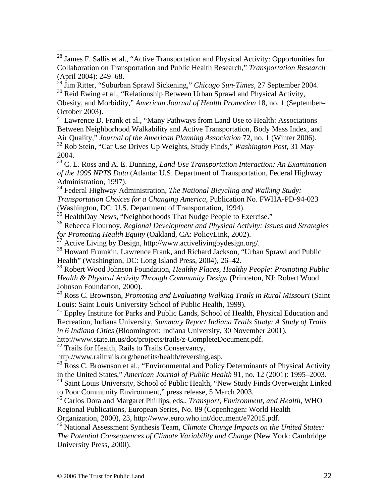28 James F. Sallis et al., "Active Transportation and Physical Activity: Opportunities for Collaboration on Transportation and Public Health Research," *Transportation Research*  (April 2004): 249–68.

29 Jim Ritter, "Suburban Sprawl Sickening," *Chicago Sun-Times,* 27 September 2004. <sup>30</sup> Reid Ewing et al., "Relationship Between Urban Sprawl and Physical Activity,

Obesity, and Morbidity," *American Journal of Health Promotion* 18, no. 1 (September– October 2003).

 $31$  Lawrence D. Frank et al., "Many Pathways from Land Use to Health: Associations Between Neighborhood Walkability and Active Transportation, Body Mass Index, and Air Quality," *Journal of the American Planning Association* 72, no. 1 (Winter 2006). 32 Rob Stein, "Car Use Drives Up Weights, Study Finds," *Washington Post,* 31 May 2004.

33 C. L. Ross and A. E. Dunning, *Land Use Transportation Interaction: An Examination of the 1995 NPTS Data* (Atlanta: U.S. Department of Transportation, Federal Highway Administration, 1997).

34 Federal Highway Administration, *The National Bicycling and Walking Study: Transportation Choices for a Changing America*, Publication No. FWHA-PD-94-023 (Washington, DC: U.S. Department of Transportation, 1994).

 $35$  HealthDay News, "Neighborhoods That Nudge People to Exercise."

36 Rebecca Flournoy, *Regional Development and Physical Activity: Issues and Strategies for Promoting Health Equity* (Oakland, CA: PolicyLink, 2002).

 $37$  Active Living by Design, http://www.activelivingbydesign.org/.

<sup>38</sup> Howard Frumkin, Lawrence Frank, and Richard Jackson, "Urban Sprawl and Public Health" (Washington, DC: Long Island Press, 2004), 26–42.

39 Robert Wood Johnson Foundation, *Healthy Places, Healthy People: Promoting Public Health & Physical Activity Through Community Design* (Princeton, NJ: Robert Wood Johnson Foundation, 2000).

40 Ross C. Brownson, *Promoting and Evaluating Walking Trails in Rural Missouri* (Saint Louis: Saint Louis University School of Public Health, 1999).

<sup>41</sup> Eppley Institute for Parks and Public Lands, School of Health, Physical Education and Recreation, Indiana University, *Summary Report Indiana Trails Study: A Study of Trails in 6 Indiana Cities* (Bloomington: Indiana University, 30 November 2001),

http://www.state.in.us/dot/projects/trails/z-CompleteDocument.pdf.

 $42$  Trails for Health, Rails to Trails Conservancy,

http://www.railtrails.org/benefits/health/reversing.asp.

<sup>43</sup> Ross C. Brownson et al., "Environmental and Policy Determinants of Physical Activity in the United States," *American Journal of Public Health* 91, no. 12 (2001): 1995–2003.

44 Saint Louis University, School of Public Health, "New Study Finds Overweight Linked to Poor Community Environment," press release, 5 March 2003.

45 Carlos Dora and Margaret Phillips, eds., *Transport, Environment, and Health,* WHO Regional Publications, European Series, No. 89 (Copenhagen: World Health

Organization, 2000), 23, http://www.euro.who.int/document/e72015.pdf.

46 National Assessment Synthesis Team, *Climate Change Impacts on the United States: The Potential Consequences of Climate Variability and Change* (New York: Cambridge University Press, 2000).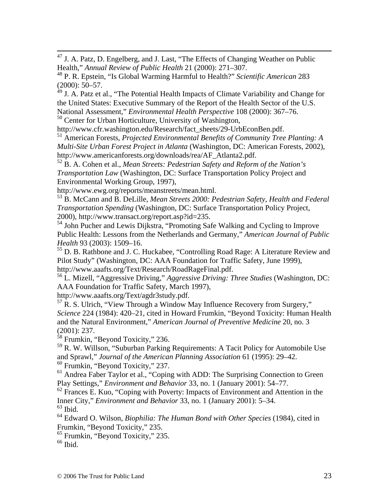47 J. A. Patz, D. Engelberg, and J. Last, "The Effects of Changing Weather on Public Health," *Annual Review of Public Health* 21 (2000): 271–307.

48 P. R. Epstein, "Is Global Warming Harmful to Health?" *Scientific American* 283  $(2000): 50-57.$ 

 $49$  J. A. Patz et al., "The Potential Health Impacts of Climate Variability and Change for the United States: Executive Summary of the Report of the Health Sector of the U.S. National Assessment," *Environmental Health Perspective* 108 (2000): 367–76.

<sup>50</sup> Center for Urban Horticulture, University of Washington,

http://www.cfr.washington.edu/Research/fact\_sheets/29-UrbEconBen.pdf.

51 American Forests, *Projected Environmental Benefits of Community Tree Planting: A Multi-Site Urban Forest Project in Atlanta* (Washington, DC: American Forests, 2002), http://www.americanforests.org/downloads/rea/AF\_Atlanta2.pdf.

52 B. A. Cohen et al., *Mean Streets: Pedestrian Safety and Reform of the Nation's Transportation Law* (Washington, DC: Surface Transportation Policy Project and Environmental Working Group, 1997),

http://www.ewg.org/reports/meanstreets/mean.html.

53 B. McCann and B. DeLille, *Mean Streets 2000: Pedestrian Safety, Health and Federal Transportation Spending* (Washington, DC: Surface Transportation Policy Project, 2000), http://www.transact.org/report.asp?id=235.

54 John Pucher and Lewis Dijkstra, "Promoting Safe Walking and Cycling to Improve Public Health: Lessons from the Netherlands and Germany," *American Journal of Public Health* 93 (2003): 1509–16.

55 D. B. Rathbone and J. C. Huckabee, "Controlling Road Rage: A Literature Review and Pilot Study" (Washington, DC: AAA Foundation for Traffic Safety, June 1999), http://www.aaafts.org/Text/Research/RoadRageFinal.pdf.

56 L. Mizell, "Aggressive Driving," *Aggressive Driving: Three Studies* (Washington, DC: AAA Foundation for Traffic Safety, March 1997),

http://www.aaafts.org/Text/agdr3study.pdf.

 $57$  R. S. Ulrich, "View Through a Window May Influence Recovery from Surgery," *Science* 224 (1984): 420–21, cited in Howard Frumkin, "Beyond Toxicity: Human Health and the Natural Environment," *American Journal of Preventive Medicine* 20, no. 3 (2001): 237.

 $58$  Frumkin, "Beyond Toxicity," 236.

59 R. W. Willson, "Suburban Parking Requirements: A Tacit Policy for Automobile Use and Sprawl," *Journal of the American Planning Association* 61 (1995): 29–42. 60 Frumkin, "Beyond Toxicity," 237.

<sup>61</sup> Andrea Faber Taylor et al., "Coping with ADD: The Surprising Connection to Green Play Settings," *Environment and Behavior* 33, no. 1 (January 2001): 54–77.

 $62$  Frances E. Kuo, "Coping with Poverty: Impacts of Environment and Attention in the Inner City," *Environment and Behavior* 33, no. 1 (January 2001): 5–34.

 $^{63}$  Ibid.

64 Edward O. Wilson, *Biophilia: The Human Bond with Other Species* (1984), cited in Frumkin, "Beyond Toxicity," 235.

65 Frumkin, "Beyond Toxicity," 235.

 $66$  Ibid.